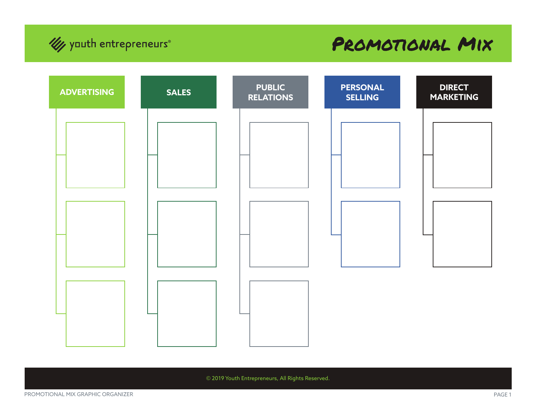

## Promotional Mix



© 2019 Youth Entrepreneurs, All Rights Reserved.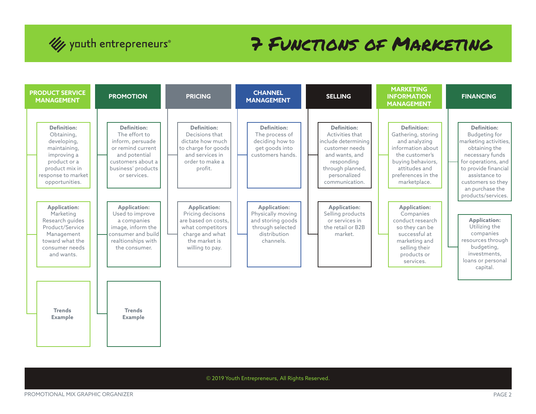

## 7 Functions of Marketing



© 2019 Youth Entrepreneurs, All Rights Reserved.